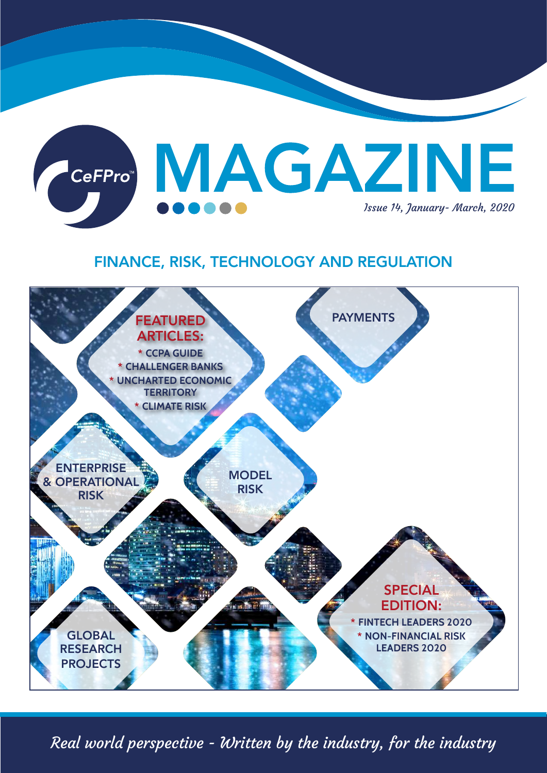

# FINANCE, RISK, TECHNOLOGY AND REGULATION



Real world perspective - Written by the industry, for the industry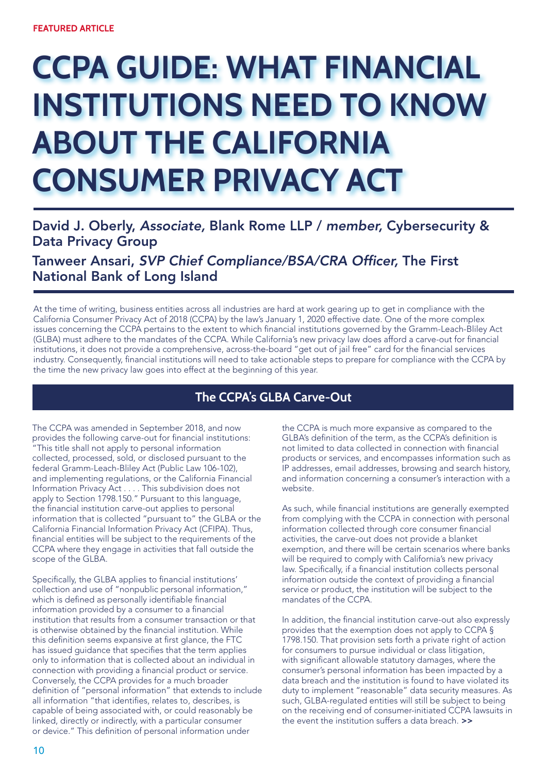# **CCPA GUIDE: WHAT FINANCIAL INSTITUTIONS NEED TO KNOW ABOUT THE CALIFORNIA CONSUMER PRIVACY ACT**

## David J. Oberly, *Associate,* Blank Rome LLP / *member,* Cybersecurity & Data Privacy Group

Tanweer Ansari, SVP Chief Compliance/BSA/CRA Officer, The First National Bank of Long Island

At the time of writing, business entities across all industries are hard at work gearing up to get in compliance with the California Consumer Privacy Act of 2018 (CCPA) by the law's January 1, 2020 effective date. One of the more complex issues concerning the CCPA pertains to the extent to which financial institutions governed by the Gramm-Leach-Bliley Act (GLBA) must adhere to the mandates of the CCPA. While California's new privacy law does afford a carve-out for financial institutions, it does not provide a comprehensive, across-the-board "get out of jail free" card for the financial services industry. Consequently, financial institutions will need to take actionable steps to prepare for compliance with the CCPA by the time the new privacy law goes into effect at the beginning of this year.

### **The CCPA's GLBA Carve-Out**

The CCPA was amended in September 2018, and now provides the following carve-out for financial institutions: "This title shall not apply to personal information collected, processed, sold, or disclosed pursuant to the federal Gramm-Leach-Bliley Act (Public Law 106-102), and implementing regulations, or the California Financial Information Privacy Act . . . . This subdivision does not apply to Section 1798.150." Pursuant to this language, the financial institution carve-out applies to personal information that is collected "pursuant to" the GLBA or the California Financial Information Privacy Act (CFIPA). Thus, financial entities will be subject to the requirements of the CCPA where they engage in activities that fall outside the scope of the GLBA.

Specifically, the GLBA applies to financial institutions' collection and use of "nonpublic personal information," which is defined as personally identifiable financial information provided by a consumer to a financial institution that results from a consumer transaction or that is otherwise obtained by the financial institution. While this definition seems expansive at first glance, the FTC has issued guidance that specifies that the term applies only to information that is collected about an individual in connection with providing a financial product or service. Conversely, the CCPA provides for a much broader definition of "personal information" that extends to include all information "that identifies, relates to, describes, is capable of being associated with, or could reasonably be linked, directly or indirectly, with a particular consumer or device." This definition of personal information under

the CCPA is much more expansive as compared to the GLBA's definition of the term, as the CCPA's definition is not limited to data collected in connection with financial products or services, and encompasses information such as IP addresses, email addresses, browsing and search history, and information concerning a consumer's interaction with a website.

As such, while financial institutions are generally exempted from complying with the CCPA in connection with personal information collected through core consumer financial activities, the carve-out does not provide a blanket exemption, and there will be certain scenarios where banks will be required to comply with California's new privacy law. Specifically, if a financial institution collects personal information outside the context of providing a financial service or product, the institution will be subject to the mandates of the CCPA

In addition, the financial institution carve-out also expressly provides that the exemption does not apply to CCPA § 1798.150. That provision sets forth a private right of action for consumers to pursue individual or class litigation, with significant allowable statutory damages, where the consumer's personal information has been impacted by a data breach and the institution is found to have violated its duty to implement "reasonable" data security measures. As such, GLBA-regulated entities will still be subject to being on the receiving end of consumer-initiated CCPA lawsuits in the event the institution suffers a data breach. >>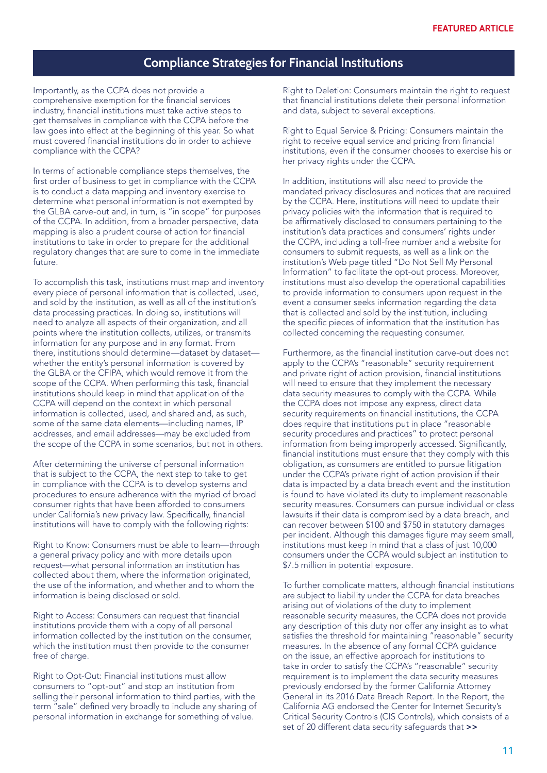#### **Compliance Strategies for Financial Institutions**

Importantly, as the CCPA does not provide a comprehensive exemption for the financial services industry, financial institutions must take active steps to get themselves in compliance with the CCPA before the law goes into effect at the beginning of this year. So what must covered financial institutions do in order to achieve compliance with the CCPA?

In terms of actionable compliance steps themselves, the first order of business to get in compliance with the CCPA is to conduct a data mapping and inventory exercise to determine what personal information is not exempted by the GLBA carve-out and, in turn, is "in scope" for purposes of the CCPA. In addition, from a broader perspective, data mapping is also a prudent course of action for financial institutions to take in order to prepare for the additional regulatory changes that are sure to come in the immediate future.

To accomplish this task, institutions must map and inventory every piece of personal information that is collected, used, and sold by the institution, as well as all of the institution's data processing practices. In doing so, institutions will need to analyze all aspects of their organization, and all points where the institution collects, utilizes, or transmits information for any purpose and in any format. From there, institutions should determine—dataset by dataset whether the entity's personal information is covered by the GLBA or the CFIPA, which would remove it from the scope of the CCPA. When performing this task, financial institutions should keep in mind that application of the CCPA will depend on the context in which personal information is collected, used, and shared and, as such, some of the same data elements—including names, IP addresses, and email addresses—may be excluded from the scope of the CCPA in some scenarios, but not in others.

After determining the universe of personal information that is subject to the CCPA, the next step to take to get in compliance with the CCPA is to develop systems and procedures to ensure adherence with the myriad of broad consumer rights that have been afforded to consumers under California's new privacy law. Specifically, financial institutions will have to comply with the following rights:

Right to Know: Consumers must be able to learn—through a general privacy policy and with more details upon request—what personal information an institution has collected about them, where the information originated, the use of the information, and whether and to whom the information is being disclosed or sold.

Right to Access: Consumers can request that financial institutions provide them with a copy of all personal information collected by the institution on the consumer, which the institution must then provide to the consumer free of charge.

Right to Opt-Out: Financial institutions must allow consumers to "opt-out" and stop an institution from selling their personal information to third parties, with the term "sale" defined very broadly to include any sharing of personal information in exchange for something of value.

Right to Deletion: Consumers maintain the right to request that financial institutions delete their personal information and data, subject to several exceptions.

Right to Equal Service & Pricing: Consumers maintain the right to receive equal service and pricing from financial institutions, even if the consumer chooses to exercise his or her privacy rights under the CCPA.

In addition, institutions will also need to provide the mandated privacy disclosures and notices that are required by the CCPA. Here, institutions will need to update their privacy policies with the information that is required to be affirmatively disclosed to consumers pertaining to the institution's data practices and consumers' rights under the CCPA, including a toll-free number and a website for consumers to submit requests, as well as a link on the institution's Web page titled "Do Not Sell My Personal Information" to facilitate the opt-out process. Moreover, institutions must also develop the operational capabilities to provide information to consumers upon request in the event a consumer seeks information regarding the data that is collected and sold by the institution, including the specific pieces of information that the institution has collected concerning the requesting consumer.

Furthermore, as the financial institution carve-out does not apply to the CCPA's "reasonable" security requirement and private right of action provision, financial institutions will need to ensure that they implement the necessary data security measures to comply with the CCPA. While the CCPA does not impose any express, direct data security requirements on financial institutions, the CCPA does require that institutions put in place "reasonable security procedures and practices" to protect personal information from being improperly accessed. Significantly, financial institutions must ensure that they comply with this obligation, as consumers are entitled to pursue litigation under the CCPA's private right of action provision if their data is impacted by a data breach event and the institution is found to have violated its duty to implement reasonable security measures. Consumers can pursue individual or class lawsuits if their data is compromised by a data breach, and can recover between \$100 and \$750 in statutory damages per incident. Although this damages figure may seem small, institutions must keep in mind that a class of just 10,000 consumers under the CCPA would subject an institution to \$7.5 million in potential exposure.

To further complicate matters, although financial institutions are subject to liability under the CCPA for data breaches arising out of violations of the duty to implement reasonable security measures, the CCPA does not provide any description of this duty nor offer any insight as to what satisfies the threshold for maintaining "reasonable" security measures. In the absence of any formal CCPA guidance on the issue, an effective approach for institutions to take in order to satisfy the CCPA's "reasonable" security requirement is to implement the data security measures previously endorsed by the former California Attorney General in its 2016 Data Breach Report. In the Report, the California AG endorsed the Center for Internet Security's Critical Security Controls (CIS Controls), which consists of a set of 20 different data security safeguards that >>